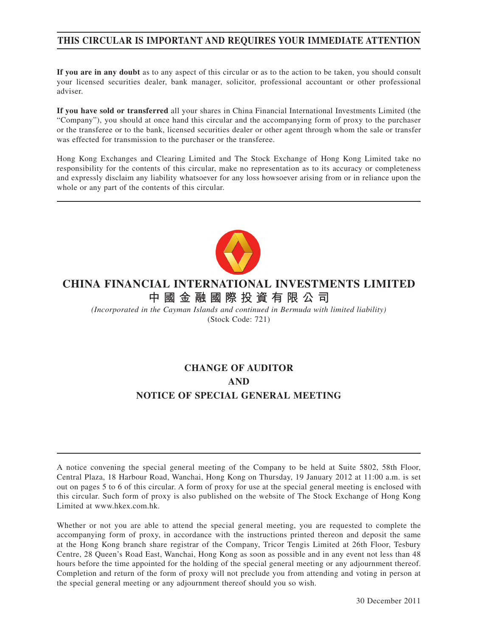# **THIS CIRCULAR IS IMPORTANT AND REQUIRES YOUR IMMEDIATE ATTENTION**

**If you are in any doubt** as to any aspect of this circular or as to the action to be taken, you should consult your licensed securities dealer, bank manager, solicitor, professional accountant or other professional adviser.

**If you have sold or transferred** all your shares in China Financial International Investments Limited (the "Company"), you should at once hand this circular and the accompanying form of proxy to the purchaser or the transferee or to the bank, licensed securities dealer or other agent through whom the sale or transfer was effected for transmission to the purchaser or the transferee.

Hong Kong Exchanges and Clearing Limited and The Stock Exchange of Hong Kong Limited take no responsibility for the contents of this circular, make no representation as to its accuracy or completeness and expressly disclaim any liability whatsoever for any loss howsoever arising from or in reliance upon the whole or any part of the contents of this circular.



# **CHINA FINANCIAL INTERNATIONAL INVESTMENTS LIMITED 中國金融國際投資有限公司**

*(Incorporated in the Cayman Islands and continued in Bermuda with limited liability)* (Stock Code: 721)

# **CHANGE OF AUDITOR AND NOTICE OF SPECIAL GENERAL MEETING**

A notice convening the special general meeting of the Company to be held at Suite 5802, 58th Floor, Central Plaza, 18 Harbour Road, Wanchai, Hong Kong on Thursday, 19 January 2012 at 11:00 a.m. is set out on pages 5 to 6 of this circular. A form of proxy for use at the special general meeting is enclosed with this circular. Such form of proxy is also published on the website of The Stock Exchange of Hong Kong Limited at www.hkex.com.hk.

Whether or not you are able to attend the special general meeting, you are requested to complete the accompanying form of proxy, in accordance with the instructions printed thereon and deposit the same at the Hong Kong branch share registrar of the Company, Tricor Tengis Limited at 26th Floor, Tesbury Centre, 28 Queen's Road East, Wanchai, Hong Kong as soon as possible and in any event not less than 48 hours before the time appointed for the holding of the special general meeting or any adjournment thereof. Completion and return of the form of proxy will not preclude you from attending and voting in person at the special general meeting or any adjournment thereof should you so wish.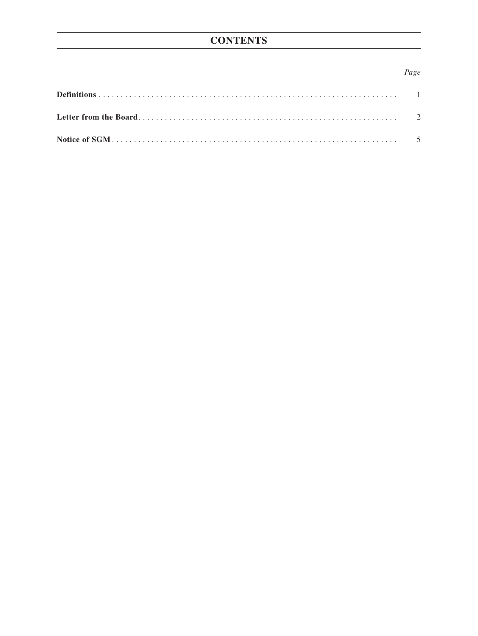# **CONTENTS**

### *Page*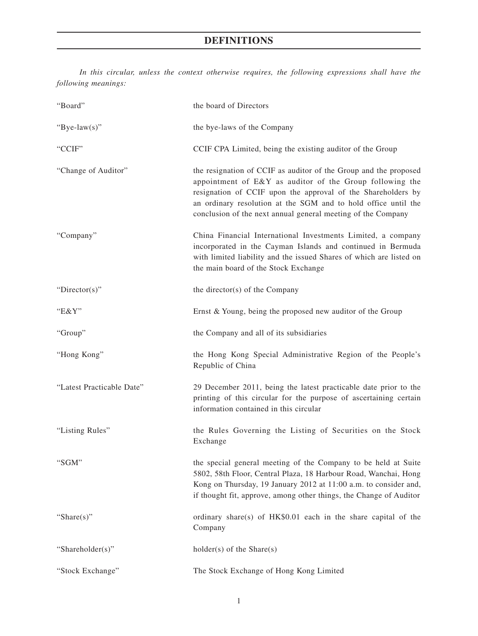# **DEFINITIONS**

*In this circular, unless the context otherwise requires, the following expressions shall have the following meanings:*

| "Board"                   | the board of Directors                                                                                                                                                                                                                                                                                                         |
|---------------------------|--------------------------------------------------------------------------------------------------------------------------------------------------------------------------------------------------------------------------------------------------------------------------------------------------------------------------------|
| "Bye-law(s)"              | the bye-laws of the Company                                                                                                                                                                                                                                                                                                    |
| "CCIF"                    | CCIF CPA Limited, being the existing auditor of the Group                                                                                                                                                                                                                                                                      |
| "Change of Auditor"       | the resignation of CCIF as auditor of the Group and the proposed<br>appointment of E&Y as auditor of the Group following the<br>resignation of CCIF upon the approval of the Shareholders by<br>an ordinary resolution at the SGM and to hold office until the<br>conclusion of the next annual general meeting of the Company |
| "Company"                 | China Financial International Investments Limited, a company<br>incorporated in the Cayman Islands and continued in Bermuda<br>with limited liability and the issued Shares of which are listed on<br>the main board of the Stock Exchange                                                                                     |
| " $Directory$ "           | the director(s) of the Company                                                                                                                                                                                                                                                                                                 |
| " $E&Y"$                  | Ernst & Young, being the proposed new auditor of the Group                                                                                                                                                                                                                                                                     |
| "Group"                   | the Company and all of its subsidiaries                                                                                                                                                                                                                                                                                        |
| "Hong Kong"               | the Hong Kong Special Administrative Region of the People's<br>Republic of China                                                                                                                                                                                                                                               |
| "Latest Practicable Date" | 29 December 2011, being the latest practicable date prior to the<br>printing of this circular for the purpose of ascertaining certain<br>information contained in this circular                                                                                                                                                |
| "Listing Rules"           | the Rules Governing the Listing of Securities on the Stock<br>Exchange                                                                                                                                                                                                                                                         |
| "SGM"                     | the special general meeting of the Company to be held at Suite<br>5802, 58th Floor, Central Plaza, 18 Harbour Road, Wanchai, Hong<br>Kong on Thursday, 19 January 2012 at 11:00 a.m. to consider and,<br>if thought fit, approve, among other things, the Change of Auditor                                                    |
| "Share $(s)$ "            | ordinary share(s) of HK\$0.01 each in the share capital of the<br>Company                                                                                                                                                                                                                                                      |
| "Shareholder(s)"          | $holder(s)$ of the Share $(s)$                                                                                                                                                                                                                                                                                                 |
| "Stock Exchange"          | The Stock Exchange of Hong Kong Limited                                                                                                                                                                                                                                                                                        |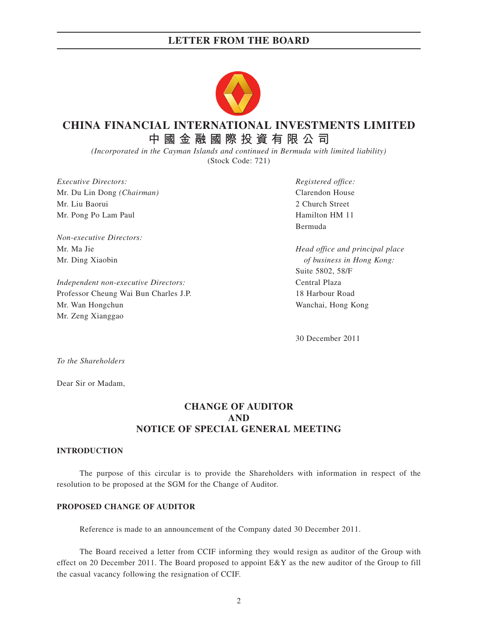## **LETTER FROM THE BOARD**



# **CHINA FINANCIAL INTERNATIONAL INVESTMENTS LIMITED**

**中國金融國際投資有限公司**

*(Incorporated in the Cayman Islands and continued in Bermuda with limited liability)* (Stock Code: 721)

*Executive Directors: Registered office:* Mr. Du Lin Dong *(Chairman)* Clarendon House Mr. Liu Baorui 2 Church Street Mr. Pong Po Lam Paul Hamilton HM 11

*Non-executive Directors:*

*Independent non-executive Directors:* Central Plaza Professor Cheung Wai Bun Charles J.P. 18 Harbour Road Mr. Wan Hongchun Wanchai, Hong Kong Mr. Zeng Xianggao

Bermuda

Mr. Ma Jie *Head office and principal place* Mr. Ding Xiaobin *of business in Hong Kong:* Suite 5802, 58/F

30 December 2011

*To the Shareholders*

Dear Sir or Madam,

## **CHANGE OF AUDITOR AND NOTICE OF SPECIAL GENERAL MEETING**

#### **INTRODUCTION**

The purpose of this circular is to provide the Shareholders with information in respect of the resolution to be proposed at the SGM for the Change of Auditor.

#### **PROPOSED CHANGE OF AUDITOR**

Reference is made to an announcement of the Company dated 30 December 2011.

The Board received a letter from CCIF informing they would resign as auditor of the Group with effect on 20 December 2011. The Board proposed to appoint E&Y as the new auditor of the Group to fill the casual vacancy following the resignation of CCIF.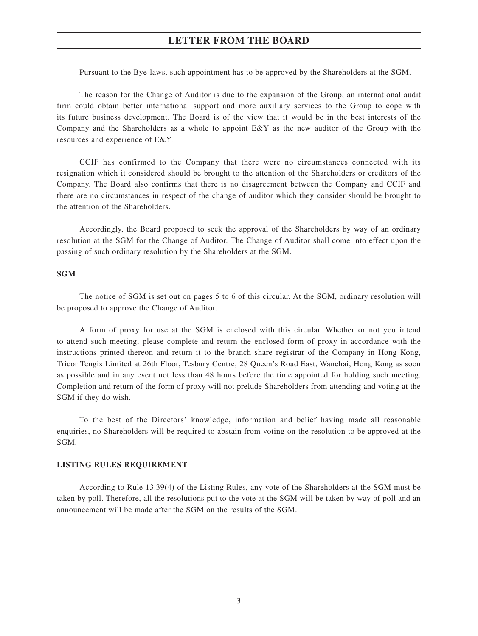## **LETTER FROM THE BOARD**

Pursuant to the Bye-laws, such appointment has to be approved by the Shareholders at the SGM.

The reason for the Change of Auditor is due to the expansion of the Group, an international audit firm could obtain better international support and more auxiliary services to the Group to cope with its future business development. The Board is of the view that it would be in the best interests of the Company and the Shareholders as a whole to appoint E&Y as the new auditor of the Group with the resources and experience of E&Y.

CCIF has confirmed to the Company that there were no circumstances connected with its resignation which it considered should be brought to the attention of the Shareholders or creditors of the Company. The Board also confirms that there is no disagreement between the Company and CCIF and there are no circumstances in respect of the change of auditor which they consider should be brought to the attention of the Shareholders.

Accordingly, the Board proposed to seek the approval of the Shareholders by way of an ordinary resolution at the SGM for the Change of Auditor. The Change of Auditor shall come into effect upon the passing of such ordinary resolution by the Shareholders at the SGM.

#### **SGM**

The notice of SGM is set out on pages 5 to 6 of this circular. At the SGM, ordinary resolution will be proposed to approve the Change of Auditor.

A form of proxy for use at the SGM is enclosed with this circular. Whether or not you intend to attend such meeting, please complete and return the enclosed form of proxy in accordance with the instructions printed thereon and return it to the branch share registrar of the Company in Hong Kong, Tricor Tengis Limited at 26th Floor, Tesbury Centre, 28 Queen's Road East, Wanchai, Hong Kong as soon as possible and in any event not less than 48 hours before the time appointed for holding such meeting. Completion and return of the form of proxy will not prelude Shareholders from attending and voting at the SGM if they do wish.

To the best of the Directors' knowledge, information and belief having made all reasonable enquiries, no Shareholders will be required to abstain from voting on the resolution to be approved at the SGM.

#### **LISTING RULES REQUIREMENT**

According to Rule 13.39(4) of the Listing Rules, any vote of the Shareholders at the SGM must be taken by poll. Therefore, all the resolutions put to the vote at the SGM will be taken by way of poll and an announcement will be made after the SGM on the results of the SGM.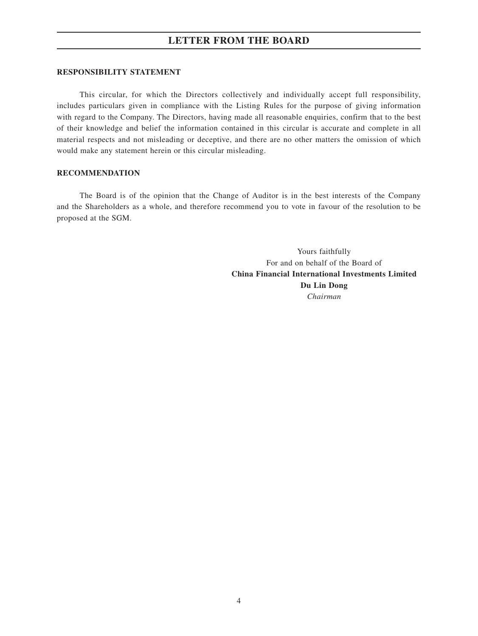## **LETTER FROM THE BOARD**

#### **RESPONSIBILITY STATEMENT**

This circular, for which the Directors collectively and individually accept full responsibility, includes particulars given in compliance with the Listing Rules for the purpose of giving information with regard to the Company. The Directors, having made all reasonable enquiries, confirm that to the best of their knowledge and belief the information contained in this circular is accurate and complete in all material respects and not misleading or deceptive, and there are no other matters the omission of which would make any statement herein or this circular misleading.

#### **RECOMMENDATION**

The Board is of the opinion that the Change of Auditor is in the best interests of the Company and the Shareholders as a whole, and therefore recommend you to vote in favour of the resolution to be proposed at the SGM.

> Yours faithfully For and on behalf of the Board of **China Financial International Investments Limited Du Lin Dong** *Chairman*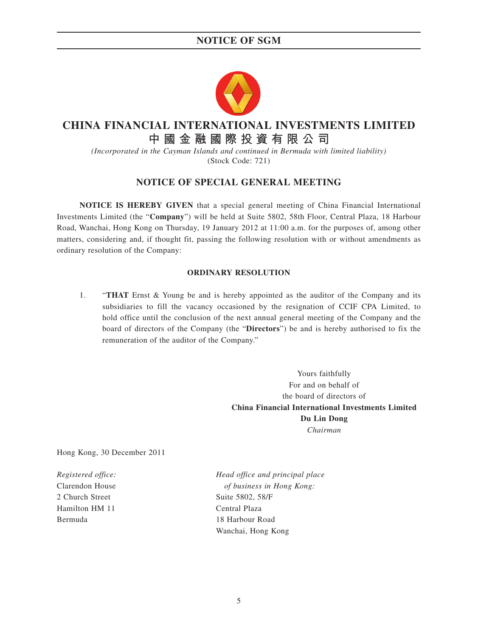# **NOTICE OF SGM**



# **CHINA FINANCIAL INTERNATIONAL INVESTMENTS LIMITED**

# **中國金融國際投資有限公司**

*(Incorporated in the Cayman Islands and continued in Bermuda with limited liability)* (Stock Code: 721)

## **NOTICE OF SPECIAL GENERAL MEETING**

**NOTICE IS HEREBY GIVEN** that a special general meeting of China Financial International Investments Limited (the "**Company**") will be held at Suite 5802, 58th Floor, Central Plaza, 18 Harbour Road, Wanchai, Hong Kong on Thursday, 19 January 2012 at 11:00 a.m. for the purposes of, among other matters, considering and, if thought fit, passing the following resolution with or without amendments as ordinary resolution of the Company:

#### **ORDINARY RESOLUTION**

1. "**THAT** Ernst & Young be and is hereby appointed as the auditor of the Company and its subsidiaries to fill the vacancy occasioned by the resignation of CCIF CPA Limited, to hold office until the conclusion of the next annual general meeting of the Company and the board of directors of the Company (the "**Directors**") be and is hereby authorised to fix the remuneration of the auditor of the Company."

> Yours faithfully For and on behalf of the board of directors of **China Financial International Investments Limited Du Lin Dong** *Chairman*

Hong Kong, 30 December 2011

2 Church Street Suite 5802, 58/F Hamilton HM 11 Central Plaza Bermuda 18 Harbour Road

*Registered office: Head office and principal place* Clarendon House *of business in Hong Kong:* Wanchai, Hong Kong